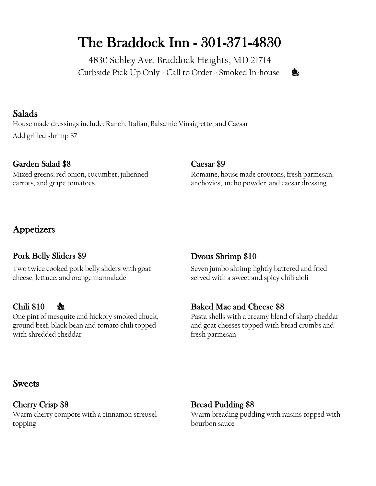# The Braddock Inn - 301-371-4830

4830 Schley Ave. Braddock Heights, MD 21714 Curbside Pick Up Only - Call to Order - Smoked In-house



### Salads

House made dressings include: Ranch, Italian, Balsamic Vinaigrette, and Caesar Add grilled shrimp \$7

### Garden Salad \$8 Caesar \$9

Mixed greens, red onion, cucumber, julienned carrots, and grape tomatoes

Romaine, house made croutons, fresh parmesan, anchovies, ancho powder, and caesar dressing

### **Appetizers**

### Pork Belly Sliders \$9 Dvous Shrimp \$10

Two twice cooked pork belly sliders with goat cheese, lettuce, and orange marmalade

One pint of mesquite and hickory smoked chuck, ground beef, black bean and tomato chili topped with shredded cheddar

Seven jumbo shrimp lightly battered and fried served with a sweet and spicy chili aioli

### Chili \$10  $\&$  Baked Mac and Cheese \$8

Pasta shells with a creamy blend of sharp cheddar and goat cheeses topped with bread crumbs and fresh parmesan

### **Sweets**

Cherry Crisp \$8 Bread Pudding \$8 Warm cherry compote with a cinnamon streusel topping

Warm breading pudding with raisins topped with bourbon sauce